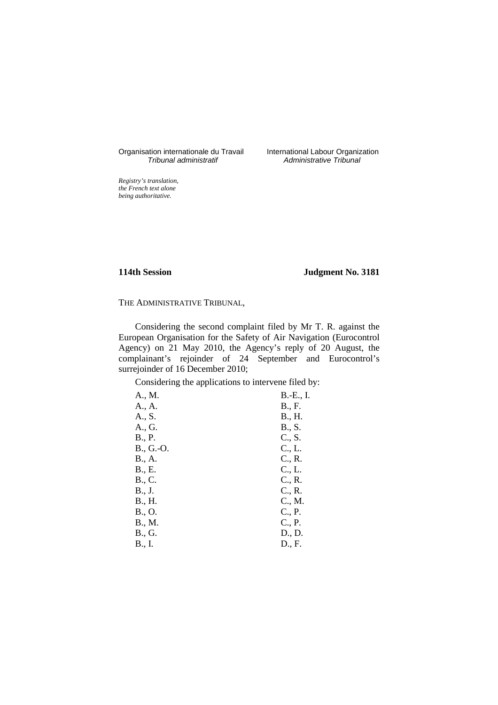Organisation internationale du Travail<br>Tribunal administratif

International Labour Organization<br>Administrative Tribunal

*Registry's translation, the French text alone being authoritative.*

# **114th Session Judgment No. 3181**

## THE ADMINISTRATIVE TRIBUNAL,

Considering the second complaint filed by Mr T. R. against the European Organisation for the Safety of Air Navigation (Eurocontrol Agency) on 21 May 2010, the Agency's reply of 20 August, the complainant's rejoinder of 24 September and Eurocontrol's surrejoinder of 16 December 2010;

Considering the applications to intervene filed by:

| A., M.    | B.-E., I. |
|-----------|-----------|
| A., A.    | B., F.    |
| A., S.    | B., H.    |
| A., G.    | B., S.    |
| B., P.    | C., S.    |
| B., G.-O. | C., L.    |
| B., A.    | C., R.    |
| B., E.    | C., L.    |
| B., C.    | C., R.    |
| B., J.    | C., R.    |
| B., H.    | C., M.    |
| B., O.    | C., P.    |
| B., M.    | C., P.    |
| B., G.    | D., D.    |
| B., I.    | D., F.    |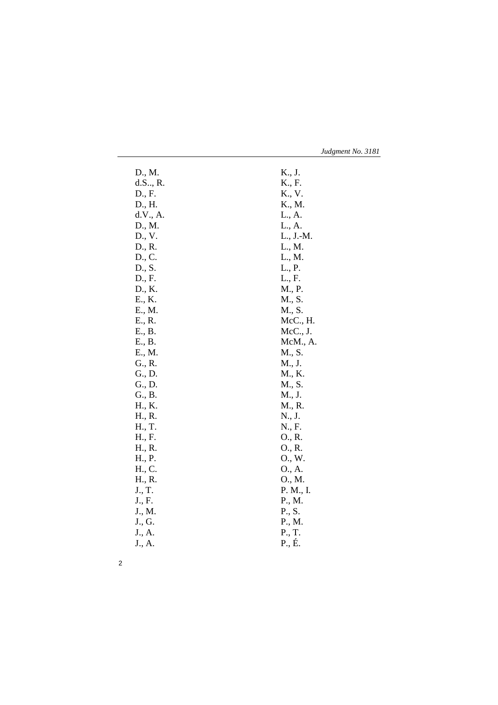| Judgment No. 3181 |  |  |
|-------------------|--|--|
|-------------------|--|--|

| D., M.   | K., J.    |
|----------|-----------|
| d.S., R. | K., F.    |
| D., F.   | K., V.    |
| D., H.   | K., M.    |
| d.V., A. | L., A.    |
| D., M.   | L., A.    |
| D., V.   | L., J.-M. |
| D., R.   | L., M.    |
| D., C.   | L., M.    |
| D., S.   | L., P.    |
| D., F.   | L., F.    |
| D., K.   | M., P.    |
| E., K.   | M., S.    |
| E., M.   | M., S.    |
| E., R.   | McC., H.  |
| E., B.   | McC., J.  |
| E., B.   | McM., A.  |
| E., M.   | M., S.    |
| G., R.   | M., J.    |
| G., D.   | M., K.    |
| G., D.   | M., S.    |
| G., B.   | M., J.    |
| H., K.   | M., R.    |
| H., R.   | N., J.    |
| H., T.   | N., F.    |
| H., F.   | O., R.    |
| H., R.   | O., R.    |
| H., P.   | O., W.    |
| H., C.   | O., A.    |
| H., R.   | O., M.    |
| J., T.   | P. M., I. |
| J., F.   | P., M.    |
| J., M.   | P., S.    |
| J., G.   | P., M.    |
| J., A.   | P., T.    |
| J., A.   | P., É.    |
|          |           |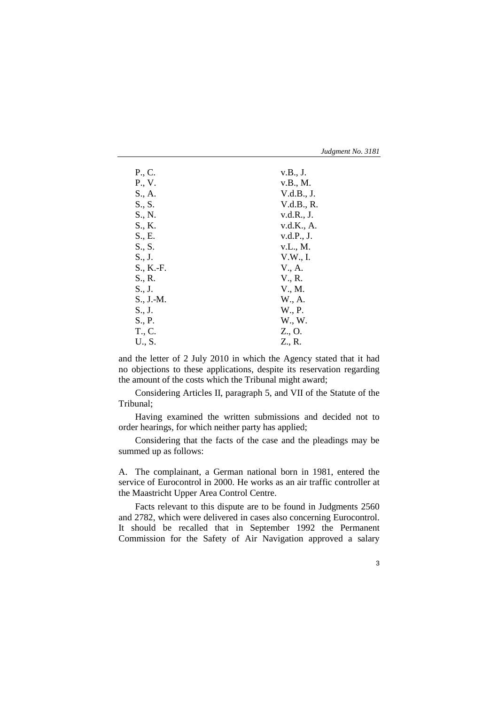| Judgment No. 3181 |  |
|-------------------|--|
|-------------------|--|

| P., C.                 | v.B., J.   |
|------------------------|------------|
| P., V.                 | v.B., M.   |
| S., A.                 | V.d.B., J. |
| S., S.                 | V.d.B., R. |
| S., N.                 | v.d.R., J. |
| S., K.                 | v.d.K., A. |
| S., E.                 | v.d.P., J. |
| S., S.                 | v.L., M.   |
| $S_{\cdot}, J_{\cdot}$ | V.W., I.   |
| S., K.-F.              | V., A.     |
| S., R.                 | V., R.     |
| $S_{\cdot}, J_{\cdot}$ | V., M.     |
| $S., J.-M.$            | W., A.     |
| S., J.                 | W., P.     |
| S., P.                 | W., W.     |
| T., C.                 | Z., O.     |
| U., S.                 | Z., R.     |

and the letter of 2 July 2010 in which the Agency stated that it had no objections to these applications, despite its reservation regarding the amount of the costs which the Tribunal might award;

Considering Articles II, paragraph 5, and VII of the Statute of the Tribunal;

Having examined the written submissions and decided not to order hearings, for which neither party has applied;

Considering that the facts of the case and the pleadings may be summed up as follows:

A. The complainant, a German national born in 1981, entered the service of Eurocontrol in 2000. He works as an air traffic controller at the Maastricht Upper Area Control Centre.

Facts relevant to this dispute are to be found in Judgments 2560 and 2782, which were delivered in cases also concerning Eurocontrol. It should be recalled that in September 1992 the Permanent Commission for the Safety of Air Navigation approved a salary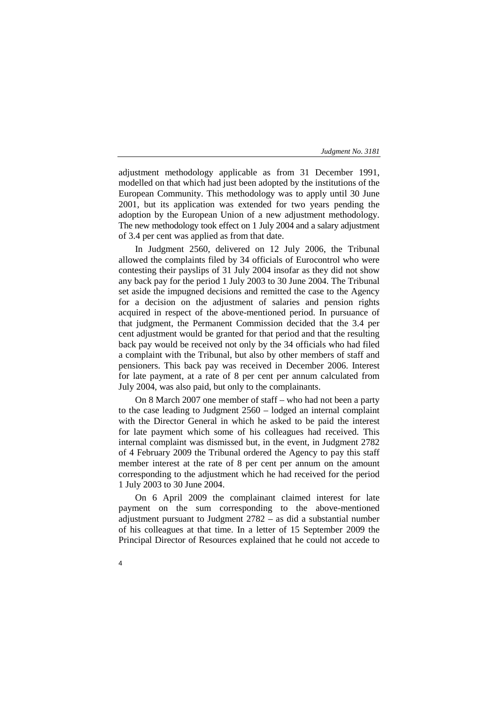adjustment methodology applicable as from 31 December 1991, modelled on that which had just been adopted by the institutions of the European Community. This methodology was to apply until 30 June 2001, but its application was extended for two years pending the adoption by the European Union of a new adjustment methodology. The new methodology took effect on 1 July 2004 and a salary adjustment of 3.4 per cent was applied as from that date.

In Judgment 2560, delivered on 12 July 2006, the Tribunal allowed the complaints filed by 34 officials of Eurocontrol who were contesting their payslips of 31 July 2004 insofar as they did not show any back pay for the period 1 July 2003 to 30 June 2004. The Tribunal set aside the impugned decisions and remitted the case to the Agency for a decision on the adjustment of salaries and pension rights acquired in respect of the above-mentioned period. In pursuance of that judgment, the Permanent Commission decided that the 3.4 per cent adjustment would be granted for that period and that the resulting back pay would be received not only by the 34 officials who had filed a complaint with the Tribunal, but also by other members of staff and pensioners. This back pay was received in December 2006. Interest for late payment, at a rate of 8 per cent per annum calculated from July 2004, was also paid, but only to the complainants.

On 8 March 2007 one member of staff – who had not been a party to the case leading to Judgment 2560 – lodged an internal complaint with the Director General in which he asked to be paid the interest for late payment which some of his colleagues had received. This internal complaint was dismissed but, in the event, in Judgment 2782 of 4 February 2009 the Tribunal ordered the Agency to pay this staff member interest at the rate of 8 per cent per annum on the amount corresponding to the adjustment which he had received for the period 1 July 2003 to 30 June 2004.

On 6 April 2009 the complainant claimed interest for late payment on the sum corresponding to the above-mentioned adjustment pursuant to Judgment 2782 – as did a substantial number of his colleagues at that time. In a letter of 15 September 2009 the Principal Director of Resources explained that he could not accede to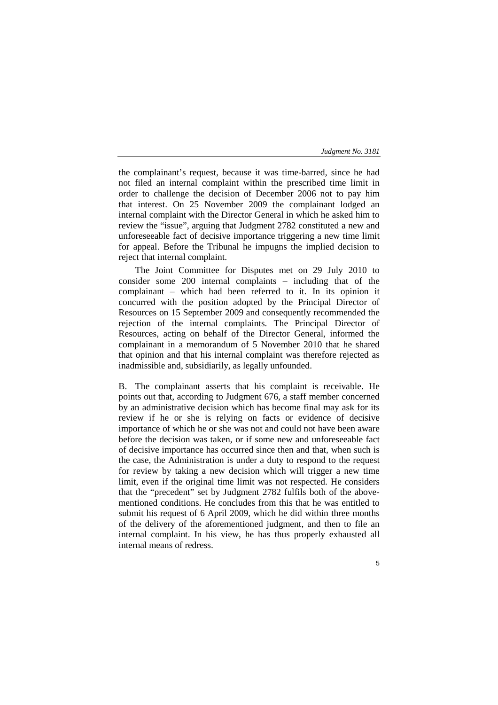the complainant's request, because it was time-barred, since he had not filed an internal complaint within the prescribed time limit in order to challenge the decision of December 2006 not to pay him that interest. On 25 November 2009 the complainant lodged an internal complaint with the Director General in which he asked him to review the "issue", arguing that Judgment 2782 constituted a new and unforeseeable fact of decisive importance triggering a new time limit for appeal. Before the Tribunal he impugns the implied decision to reject that internal complaint.

The Joint Committee for Disputes met on 29 July 2010 to consider some 200 internal complaints – including that of the complainant – which had been referred to it. In its opinion it concurred with the position adopted by the Principal Director of Resources on 15 September 2009 and consequently recommended the rejection of the internal complaints. The Principal Director of Resources, acting on behalf of the Director General, informed the complainant in a memorandum of 5 November 2010 that he shared that opinion and that his internal complaint was therefore rejected as inadmissible and, subsidiarily, as legally unfounded.

B. The complainant asserts that his complaint is receivable. He points out that, according to Judgment 676, a staff member concerned by an administrative decision which has become final may ask for its review if he or she is relying on facts or evidence of decisive importance of which he or she was not and could not have been aware before the decision was taken, or if some new and unforeseeable fact of decisive importance has occurred since then and that, when such is the case, the Administration is under a duty to respond to the request for review by taking a new decision which will trigger a new time limit, even if the original time limit was not respected. He considers that the "precedent" set by Judgment 2782 fulfils both of the abovementioned conditions. He concludes from this that he was entitled to submit his request of 6 April 2009, which he did within three months of the delivery of the aforementioned judgment, and then to file an internal complaint. In his view, he has thus properly exhausted all internal means of redress.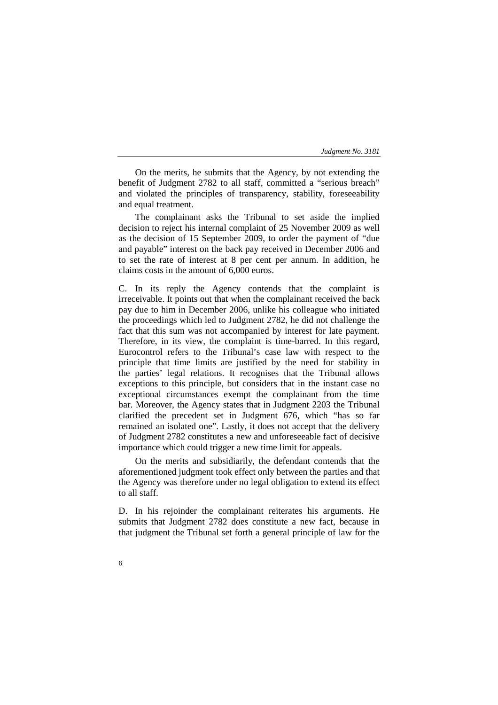On the merits, he submits that the Agency, by not extending the benefit of Judgment 2782 to all staff, committed a "serious breach" and violated the principles of transparency, stability, foreseeability and equal treatment.

The complainant asks the Tribunal to set aside the implied decision to reject his internal complaint of 25 November 2009 as well as the decision of 15 September 2009, to order the payment of "due and payable" interest on the back pay received in December 2006 and to set the rate of interest at 8 per cent per annum. In addition, he claims costs in the amount of 6,000 euros.

C. In its reply the Agency contends that the complaint is irreceivable. It points out that when the complainant received the back pay due to him in December 2006, unlike his colleague who initiated the proceedings which led to Judgment 2782, he did not challenge the fact that this sum was not accompanied by interest for late payment. Therefore, in its view, the complaint is time-barred. In this regard, Eurocontrol refers to the Tribunal's case law with respect to the principle that time limits are justified by the need for stability in the parties' legal relations. It recognises that the Tribunal allows exceptions to this principle, but considers that in the instant case no exceptional circumstances exempt the complainant from the time bar. Moreover, the Agency states that in Judgment 2203 the Tribunal clarified the precedent set in Judgment 676, which "has so far remained an isolated one". Lastly, it does not accept that the delivery of Judgment 2782 constitutes a new and unforeseeable fact of decisive importance which could trigger a new time limit for appeals.

On the merits and subsidiarily, the defendant contends that the aforementioned judgment took effect only between the parties and that the Agency was therefore under no legal obligation to extend its effect to all staff.

D. In his rejoinder the complainant reiterates his arguments. He submits that Judgment 2782 does constitute a new fact, because in that judgment the Tribunal set forth a general principle of law for the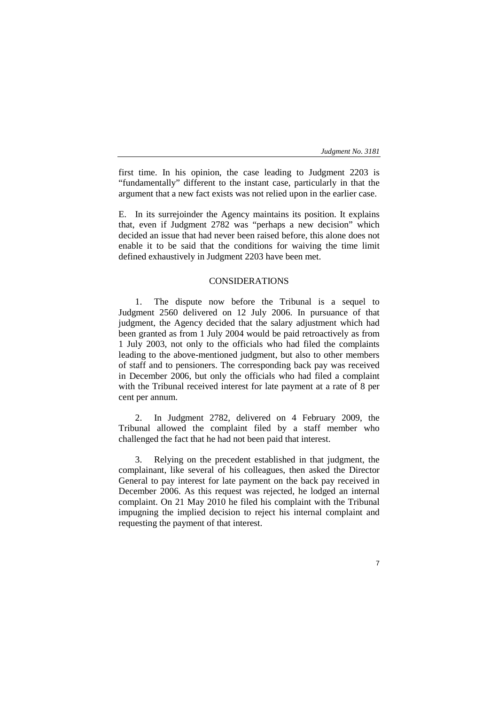7

first time. In his opinion, the case leading to Judgment 2203 is "fundamentally" different to the instant case, particularly in that the argument that a new fact exists was not relied upon in the earlier case.

E. In its surrejoinder the Agency maintains its position. It explains that, even if Judgment 2782 was "perhaps a new decision" which decided an issue that had never been raised before, this alone does not enable it to be said that the conditions for waiving the time limit defined exhaustively in Judgment 2203 have been met.

# CONSIDERATIONS

1. The dispute now before the Tribunal is a sequel to Judgment 2560 delivered on 12 July 2006. In pursuance of that judgment, the Agency decided that the salary adjustment which had been granted as from 1 July 2004 would be paid retroactively as from 1 July 2003, not only to the officials who had filed the complaints leading to the above-mentioned judgment, but also to other members of staff and to pensioners. The corresponding back pay was received in December 2006, but only the officials who had filed a complaint with the Tribunal received interest for late payment at a rate of 8 per cent per annum.

2. In Judgment 2782, delivered on 4 February 2009, the Tribunal allowed the complaint filed by a staff member who challenged the fact that he had not been paid that interest.

3. Relying on the precedent established in that judgment, the complainant, like several of his colleagues, then asked the Director General to pay interest for late payment on the back pay received in December 2006. As this request was rejected, he lodged an internal complaint. On 21 May 2010 he filed his complaint with the Tribunal impugning the implied decision to reject his internal complaint and requesting the payment of that interest.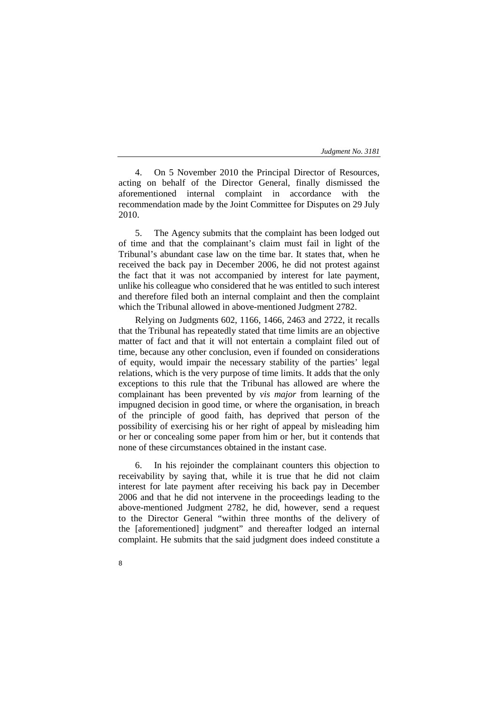4. On 5 November 2010 the Principal Director of Resources, acting on behalf of the Director General, finally dismissed the aforementioned internal complaint in accordance with the recommendation made by the Joint Committee for Disputes on 29 July 2010.

5. The Agency submits that the complaint has been lodged out of time and that the complainant's claim must fail in light of the Tribunal's abundant case law on the time bar. It states that, when he received the back pay in December 2006, he did not protest against the fact that it was not accompanied by interest for late payment, unlike his colleague who considered that he was entitled to such interest and therefore filed both an internal complaint and then the complaint which the Tribunal allowed in above-mentioned Judgment 2782.

Relying on Judgments 602, 1166, 1466, 2463 and 2722, it recalls that the Tribunal has repeatedly stated that time limits are an objective matter of fact and that it will not entertain a complaint filed out of time, because any other conclusion, even if founded on considerations of equity, would impair the necessary stability of the parties' legal relations, which is the very purpose of time limits. It adds that the only exceptions to this rule that the Tribunal has allowed are where the complainant has been prevented by *vis major* from learning of the impugned decision in good time, or where the organisation, in breach of the principle of good faith, has deprived that person of the possibility of exercising his or her right of appeal by misleading him or her or concealing some paper from him or her, but it contends that none of these circumstances obtained in the instant case.

6. In his rejoinder the complainant counters this objection to receivability by saying that, while it is true that he did not claim interest for late payment after receiving his back pay in December 2006 and that he did not intervene in the proceedings leading to the above-mentioned Judgment 2782, he did, however, send a request to the Director General "within three months of the delivery of the [aforementioned] judgment" and thereafter lodged an internal complaint. He submits that the said judgment does indeed constitute a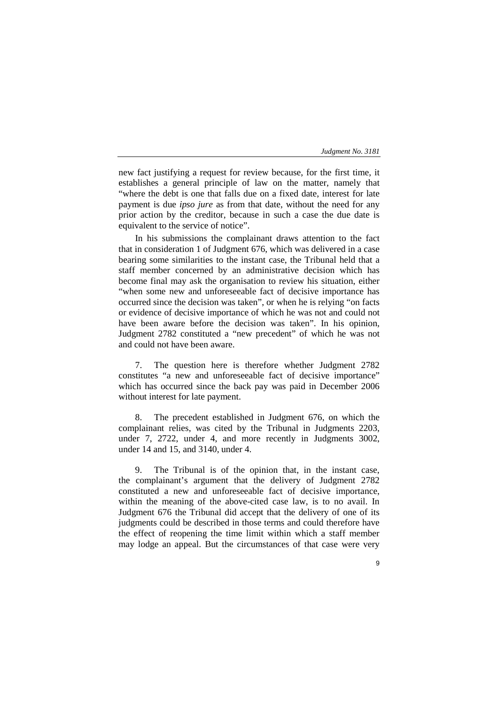new fact justifying a request for review because, for the first time, it establishes a general principle of law on the matter, namely that "where the debt is one that falls due on a fixed date, interest for late payment is due *ipso jure* as from that date, without the need for any prior action by the creditor, because in such a case the due date is equivalent to the service of notice".

In his submissions the complainant draws attention to the fact that in consideration 1 of Judgment 676, which was delivered in a case bearing some similarities to the instant case, the Tribunal held that a staff member concerned by an administrative decision which has become final may ask the organisation to review his situation, either "when some new and unforeseeable fact of decisive importance has occurred since the decision was taken", or when he is relying "on facts or evidence of decisive importance of which he was not and could not have been aware before the decision was taken". In his opinion, Judgment 2782 constituted a "new precedent" of which he was not and could not have been aware.

7. The question here is therefore whether Judgment 2782 constitutes "a new and unforeseeable fact of decisive importance" which has occurred since the back pay was paid in December 2006 without interest for late payment.

8. The precedent established in Judgment 676, on which the complainant relies, was cited by the Tribunal in Judgments 2203, under 7, 2722, under 4, and more recently in Judgments 3002, under 14 and 15, and 3140, under 4.

9. The Tribunal is of the opinion that, in the instant case, the complainant's argument that the delivery of Judgment 2782 constituted a new and unforeseeable fact of decisive importance, within the meaning of the above-cited case law, is to no avail. In Judgment 676 the Tribunal did accept that the delivery of one of its judgments could be described in those terms and could therefore have the effect of reopening the time limit within which a staff member may lodge an appeal. But the circumstances of that case were very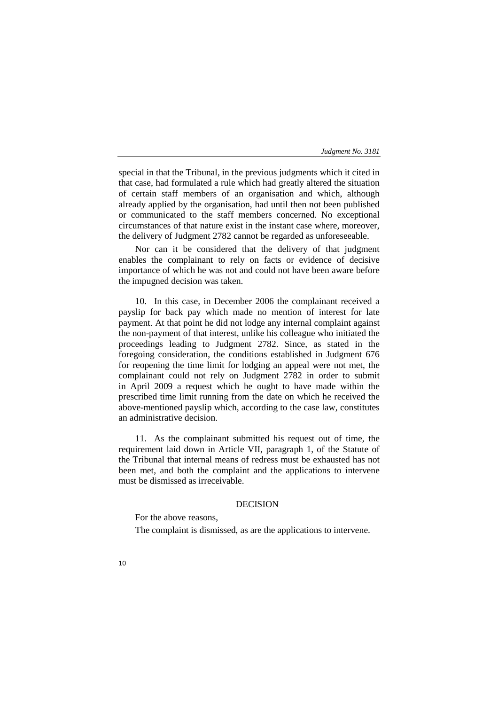special in that the Tribunal, in the previous judgments which it cited in that case, had formulated a rule which had greatly altered the situation of certain staff members of an organisation and which, although already applied by the organisation, had until then not been published or communicated to the staff members concerned. No exceptional circumstances of that nature exist in the instant case where, moreover, the delivery of Judgment 2782 cannot be regarded as unforeseeable.

Nor can it be considered that the delivery of that judgment enables the complainant to rely on facts or evidence of decisive importance of which he was not and could not have been aware before the impugned decision was taken.

10. In this case, in December 2006 the complainant received a payslip for back pay which made no mention of interest for late payment. At that point he did not lodge any internal complaint against the non-payment of that interest, unlike his colleague who initiated the proceedings leading to Judgment 2782. Since, as stated in the foregoing consideration, the conditions established in Judgment 676 for reopening the time limit for lodging an appeal were not met, the complainant could not rely on Judgment 2782 in order to submit in April 2009 a request which he ought to have made within the prescribed time limit running from the date on which he received the above-mentioned payslip which, according to the case law, constitutes an administrative decision.

11. As the complainant submitted his request out of time, the requirement laid down in Article VII, paragraph 1, of the Statute of the Tribunal that internal means of redress must be exhausted has not been met, and both the complaint and the applications to intervene must be dismissed as irreceivable.

## DECISION

For the above reasons,

The complaint is dismissed, as are the applications to intervene.